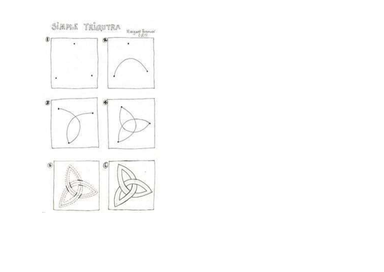